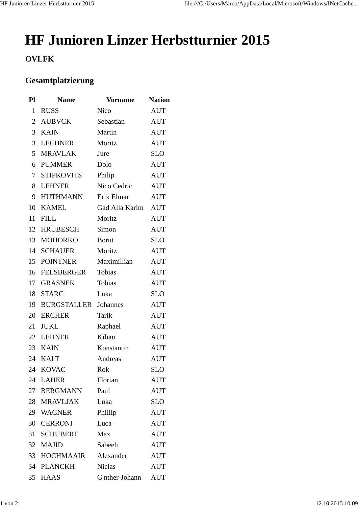## **HF Junioren Linzer Herbstturnier 2015**

## **OVLFK**

## **Gesamtplatzierung**

| Pl             | <b>Name</b>        | <b>Vorname</b> | <b>Nation</b> |
|----------------|--------------------|----------------|---------------|
| $\mathbf{1}$   | <b>RUSS</b>        | Nico           | <b>AUT</b>    |
| $\overline{2}$ | <b>AUBVCK</b>      | Sebastian      | <b>AUT</b>    |
| 3              | <b>KAIN</b>        | Martin         | <b>AUT</b>    |
| 3              | <b>LECHNER</b>     | Moritz         | <b>AUT</b>    |
| 5              | <b>MRAVLAK</b>     | Jure           | <b>SLO</b>    |
| 6              | <b>PUMMER</b>      | Dolo           | <b>AUT</b>    |
| 7              | <b>STIPKOVITS</b>  | Philip         | <b>AUT</b>    |
| 8              | <b>LEHNER</b>      | Nico Cedric    | <b>AUT</b>    |
| 9              | <b>HUTHMANN</b>    | Erik Elmar     | <b>AUT</b>    |
| 10             | <b>KAMEL</b>       | Gad Alla Karim | <b>AUT</b>    |
| 11             | <b>FILL</b>        | Moritz         | <b>AUT</b>    |
| 12             | <b>HRUBESCH</b>    | Simon          | <b>AUT</b>    |
| 13             | <b>MOHORKO</b>     | <b>Borut</b>   | <b>SLO</b>    |
| 14             | <b>SCHAUER</b>     | Moritz         | <b>AUT</b>    |
| 15             | <b>POINTNER</b>    | Maximillian    | <b>AUT</b>    |
| 16             | <b>FELSBERGER</b>  | Tobias         | <b>AUT</b>    |
| 17             | <b>GRASNEK</b>     | Tobias         | <b>AUT</b>    |
| 18             | <b>STARC</b>       | Luka           | <b>SLO</b>    |
| 19             | <b>BURGSTALLER</b> | Johannes       | <b>AUT</b>    |
| 20             | <b>ERCHER</b>      | Tarik          | <b>AUT</b>    |
| 21             | <b>JUKL</b>        | Raphael        | <b>AUT</b>    |
| 22             | <b>LEHNER</b>      | Kilian         | <b>AUT</b>    |
| 23             | <b>KAIN</b>        | Konstantin     | <b>AUT</b>    |
| 24             | <b>KALT</b>        | Andreas        | <b>AUT</b>    |
| 24             | <b>KOVAC</b>       | Rok            | SLO           |
| 24             | <b>LAHER</b>       | Florian        | <b>AUT</b>    |
| 27             | <b>BERGMANN</b>    | Paul           | <b>AUT</b>    |
| 28             | <b>MRAVLJAK</b>    | Luka           | <b>SLO</b>    |
| 29             | <b>WAGNER</b>      | Phillip        | <b>AUT</b>    |
| 30             | <b>CERRONI</b>     | Luca           | AUT           |
| 31             | <b>SCHUBERT</b>    | Max            | <b>AUT</b>    |
| 32             | <b>MAJID</b>       | Sabeeh         | <b>AUT</b>    |
| 33             | <b>HOCHMAAIR</b>   | Alexander      | <b>AUT</b>    |
| 34             | <b>PLANCKH</b>     | <b>Niclas</b>  | AUT           |
| 35             | <b>HAAS</b>        | G nther-Johann | <b>AUT</b>    |